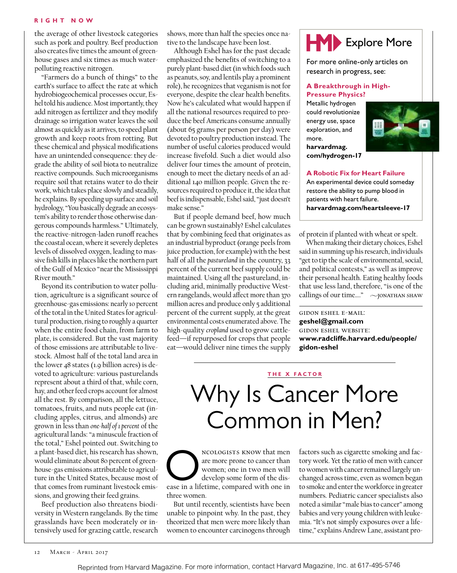the average of other livestock categories such as pork and poultry. Beef production also creates five times the amount of greenhouse gases and six times as much waterpolluting reactive nitrogen.

"Farmers do a bunch of things" to the earth's surface to affect the rate at which hydrobiogeochemical processes occur, Eshel told his audience. Most importantly, they add nitrogen as fertilizer and they modify drainage so irrigation water leaves the soil almost as quickly as it arrives, to speed plant growth and keep roots from rotting. But these chemical and physical modifications have an unintended consequence: they degrade the ability of soil biota to neutralize reactive compounds. Such microorganisms require soil that retains water to do their work, which takes place slowly and steadily, he explains. By speeding up surface and soil hydrology, "You basically degrade an ecosystem's ability to render those otherwise dangerous compounds harmless." Ultimately, the reactive-nitrogen-laden runoff reaches the coastal ocean, where it severely depletes levels of dissolved oxygen, leading to massive fish kills in places like the northern part of the Gulf of Mexico "near the Mississippi River mouth."

Beyond its contribution to water pollution, agriculture is a significant source of greenhouse-gas emissions: nearly 10 percent of the total in the United States for agricultural production, rising to roughly a quarter when the entire food chain, from farm to plate, is considered. But the vast majority of those emissions are attributable to livestock. Almost half of the total land area in the lower 48 states (1.9 billion acres) is devoted to agriculture: various pasturelands represent about a third of that, while corn, hay, and other feed crops account for almost all the rest. By comparison, all the lettuce, tomatoes, fruits, and nuts people eat (including apples, citrus, and almonds) are grown in less than *one-half of 1 percent* of the agricultural lands: "a minuscule fraction of the total," Eshel pointed out. Switching to a plant-based diet, his research has shown, would eliminate about 80 percent of greenhouse-gas emissions attributable to agriculture in the United States, because most of that comes from ruminant livestock emissions, and growing their feed grains.

Beef production also threatens biodiversity in Western rangelands. By the time grasslands have been moderately or intensively used for grazing cattle, research

shows, more than half the species once native to the landscape have been lost.

Although Eshel has for the past decade emphasized the benefits of switching to a purely plant-based diet (in which foods such as peanuts, soy, and lentils play a prominent role), he recognizes that veganism is not for everyone, despite the clear health benefits. Now he's calculated what would happen if all the national resources required to produce the beef Americans consume annually (about 65 grams per person per day) were devoted to poultry production instead. The number of useful calories produced would increase fivefold. Such a diet would also deliver four times the amount of protein, enough to meet the dietary needs of an additional 140 million people. Given the resources required to produce it, the idea that beef is indispensable, Eshel said, "just doesn't make sense."

But if people demand beef, how much can be grown sustainably? Eshel calculates that by combining feed that originates as an industrial byproduct (orange peels from juice production, for example) with the best half of all the *pastureland* in the country, 33 percent of the current beef supply could be maintained. Using *all* the pastureland, including arid, minimally productive Western rangelands, would affect more than 370 million acres and produce only 5 additional percent of the current supply, at the great environmental costs enumerated above. The high-quality *cropland* used to grow cattlefeed—if repurposed for crops that people eat—would deliver nine times the supply



For more online-only articles on research in progress, see:

# **A Breakthrough in High-Pressure Physics?**

Metallic hydrogen could revolutionize energy use, space exploration, and more.



**harvardmag. com/hydrogen-17**

### **A Robotic Fix for Heart Failure**

An experimental device could someday restore the ability to pump blood in patients with heart failure. **harvardmag.com/heartsleeve-17**

of protein if planted with wheat or spelt.

When making their dietary choices, Eshel said in summing up his research, individuals "get to tip the scale of environmental, social, and political contests," as well as improve their personal health. Eating healthy foods that use less land, therefore, "is one of the callings of our time...."  $\sim$  JONATHAN SHAW

gidon eshel e-mail: **geshel@gmail.com** gidon eshel website: **www.radcliffe.harvard.edu/people/ gidon-eshel**

## **THE X FACTOR**

# Why Is Cancer More Common in Men?

NCOLOGISTS KNOW that men<br>
are more prone to cancer than<br>
women; one in two men will<br>
develop some form of the dis-<br>
ease in a lifetime, compared with one in are more prone to cancer than women; one in two men will develop some form of the disthree women.

But until recently, scientists have been unable to pinpoint why. In the past, they theorized that men were more likely than women to encounter carcinogens through

factors such as cigarette smoking and factory work. Yet the ratio of men with cancer to women with cancer remained largely unchanged across time, even as women began to smoke and enter the workforce in greater numbers. Pediatric cancer specialists also noted a similar "male bias to cancer" among babies and very young children with leukemia. "It's not simply exposures over a lifetime," explains Andrew Lane, assistant pro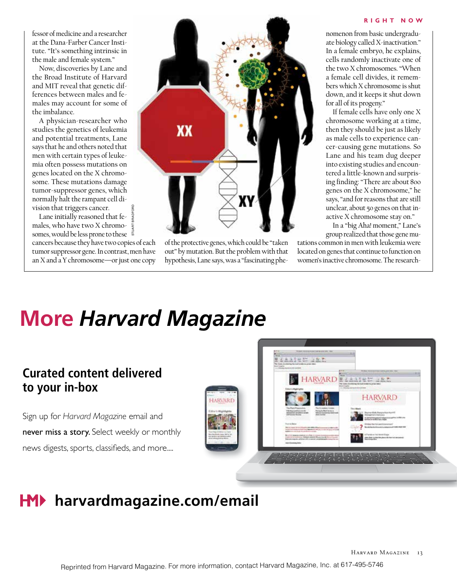fessor of medicine and a researcher at the Dana-Farber Cancer Institute. "It's something intrinsic in the male and female system."

Now, discoveries by Lane and the Broad Institute of Harvard and MIT reveal that genetic differences between males and females may account for some of the imbalance.

A physician-researcher who studies the genetics of leukemia and potential treatments, Lane says that he and others noted that men with certain types of leukemia often possess mutations on genes located on the X chromosome. These mutations damage tumor-suppressor genes, which normally halt the rampant cell division that triggers cancer.

Lane initially reasoned that females, who have two X chromosomes, would be less prone to these cancers because they have two copies of each tumor suppressor gene. In contrast, men have an X and a Y chromosome—or just one copy STUART BRADFORD



of the protective genes, which could be "taken out" by mutation. But the problem with that hypothesis, Lane says, was a "fascinating phe-

#### **Rig ht N o w**

nomenon from basic undergraduate biology called X-inactivation." In a female embryo, he explains, cells randomly inactivate one of the two X chromosomes. "When a female cell divides, it remembers which X chromosome is shut down, and it keeps it shut down for all of its progeny."

If female cells have only one X chromosome working at a time, then they should be just as likely as male cells to experience cancer-causing gene mutations. So Lane and his team dug deeper into existing studies and encountered a little-known and surprising finding: "There are about 800 genes on the X chromosome," he says, "and for reasons that are still unclear, about 50 genes on that inactive X chromosome stay on."

In a "big Aha! moment," Lane's group realized that those gene mu-

tations common in men with leukemia were located on genes that continue to function on women's inactive chromosome. The research-

# **More** *Harvard Magazine*

# **Curated content delivered to your in-box**

Sign up for *Harvard Magazine* email and never miss a story. Select weekly or monthly news digests, sports, classifieds, and more....



# **HM**▶ harvardmagazine.com/email